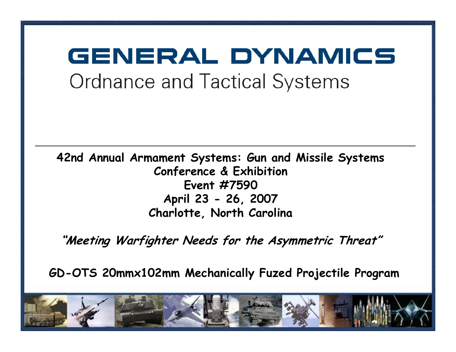# GENERAL DYNAMICS **Ordnance and Tactical Systems**

**42nd Annual Armament Systems: Gun and Missile Systems Conference & Exhibition Event #7590 April 23 - 26, 2007 Charlotte, North Carolina**

**"Meeting Warfighter Needs for the Asymmetric Threat"**

**GD-OTS 20mmx102mm Mechanically Fuzed Projectile Program**

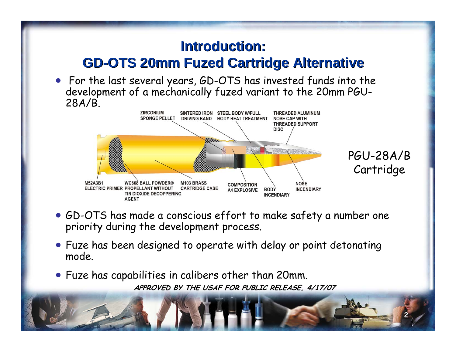#### **Introduction: Introduction: GD-OTS 20mm Fuzed Cartridge Alternative GD-OTS 20mm Fuzed Cartridge Alternative**

• For the last several years, GD-OTS has invested funds into the development of a mechanically fuzed variant to the 20mm PGU-28A/B.



- GD-OTS has made a conscious effort to make safety a number one priority during the development process.
- Fuze has been designed to operate with delay or point detonating mode.
- **APPROVED BY THE USAF FOR PUBLIC RELEASE, 4/17/07** • Fuze has capabilities in calibers other than 20mm.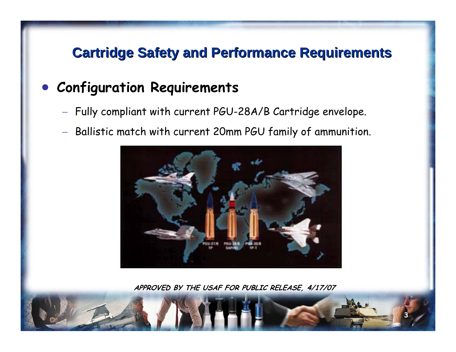#### **Cartridge Safety and Performance Requirements Cartridge Safety and Performance Requirements**

#### $\bullet$ **Configuration Requirements**

- $-$  Fully compliant with current PGU-28A/B Cartridge envelope.
- − $-$  Ballistic match with current 20mm PGU family of ammunition.



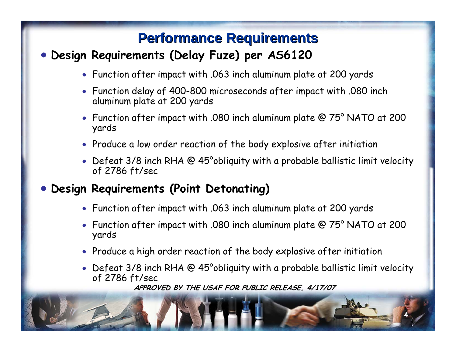#### **Performance Requirements Performance Requirements**

#### • **Design Requirements (Delay Fuze) per AS6120**

- Function after impact with .063 inch aluminum plate at 200 yards
- Function delay of 400-800 microseconds after impact with .080 inch aluminum plate at 200 yards
- • Function after impact with .080 inch aluminum plate @ 75° NATO at 200 yards
- Produce a low order reaction of the body explosive after initiation
- Defeat 3/8 inch RHA @ 45°obliquity with a probable ballistic limit velocity of 2786 ft/sec
- $\bullet$  **Design Requirements (Point Detonating)**
	- Function after impact with .063 inch aluminum plate at 200 yards
	- Function after impact with .080 inch aluminum plate @ 75° NATO at 200 yards
	- Produce a high order reaction of the body explosive after initiation
	- • Defeat 3/8 inch RHA @ 45°obliquity with a probable ballistic limit velocity of 2786 ft/sec

**4**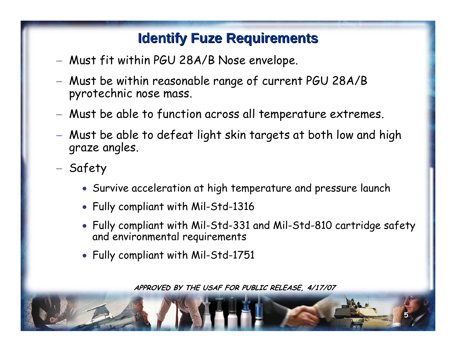#### **Identify Fuze Requirements Identify Fuze Requirements**

- Must fit within PGU 28A/B Nose envelope.
- Must be within reasonable range of current PGU 28A/B pyrotechnic nose mass.
- Must be able to function across all temperature extremes.
- Must be able to defeat light skin targets at both low and high graze angles.
- Safety
	- Survive acceleration at high temperature and pressure launch
	- Fully compliant with Mil-Std-1316
	- Fully compliant with Mil-Std-331 and Mil-Std-810 cartridge safety and environmental requirements

**5**

• Fully compliant with Mil-Std-1751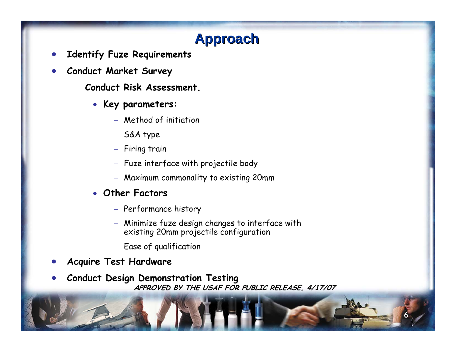# **Approach Approach**

- •**Identify Fuze Requirements**
- • **Conduct Market Survey**
	- − **Conduct Risk Assessment.**
		- **Key parameters:**
			- − Method of initiation
			- − S&A type
			- − Firing train
			- − Fuze interface with projectile body
			- − Maximum commonality to existing 20mm
		- **Other Factors**
			- − Performance history
			- − Minimize fuze design changes to interface with existing 20mm projectile configuration

- − Ease of qualification
- •**Acquire Test Hardware**
- **APPROVED BY THE USAF FOR PUBLIC RELEASE, 4/17/07** •**Conduct Design Demonstration Testing**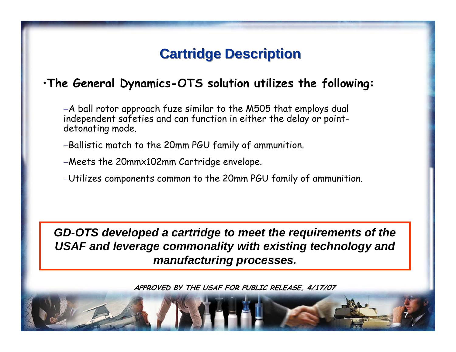#### **Cartridge Description Cartridge Description**

#### •**The General Dynamics-OTS solution utilizes the following:**

<sup>−</sup>A ball rotor approach fuze similar to the M505 that employs dual independent safeties and can function in either the delay or pointdetonating mode.

<sup>−</sup>Ballistic match to the 20mm PGU family of ammunition.

<sup>−</sup>Meets the 20mmx102mm Cartridge envelope.

<sup>−</sup>Utilizes components common to the 20mm PGU family of ammunition.

*GD-OTS developed a cartridge to meet the requirements of the USAF and leverage commonality with existing technology and manufacturing processes.*

**APPROVED BY THE USAF FOR PUBLIC RELEASE, 4/17/07**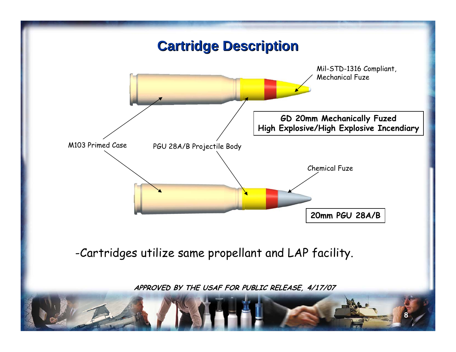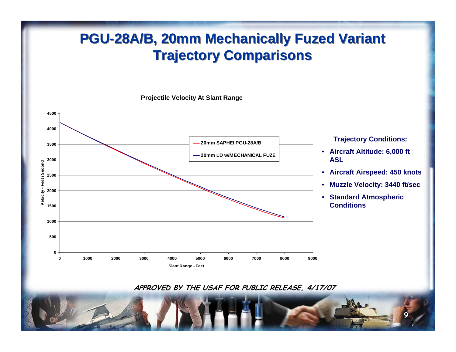### **PGU-28A/B, 20mm Mechanically Fuzed Variant PGU-28A/B, 20mm Mechanically Fuzed Variant Trajectory Comparisons Trajectory Comparisons**

**Projectile Velocity At Slant Range**



**APPROVED BY THE USAF FOR PUBLIC RELEASE, 4/17/07**

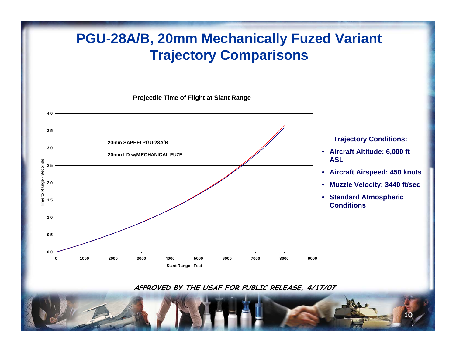#### **PGU-28A/B, 20mm Mechanically Fuzed Variant Trajectory Comparisons**

**Projectile Time of Flight at Slant Range**



**APPROVED BY THE USAF FOR PUBLIC RELEASE, 4/17/07**

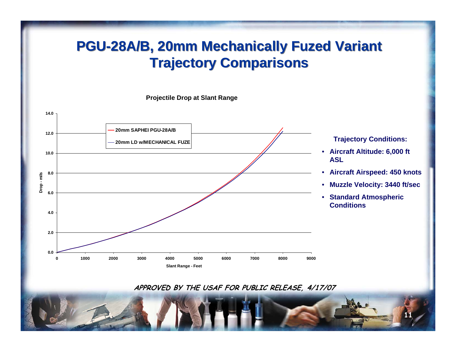#### **PGU-28A/B, 20mm Mechanically Fuzed Variant PGU-28A/B, 20mm Mechanically Fuzed Variant Trajectory Comparisons Trajectory Comparisons**

**Projectile Drop at Slant Range**



**APPROVED BY THE USAF FOR PUBLIC RELEASE, 4/17/07**

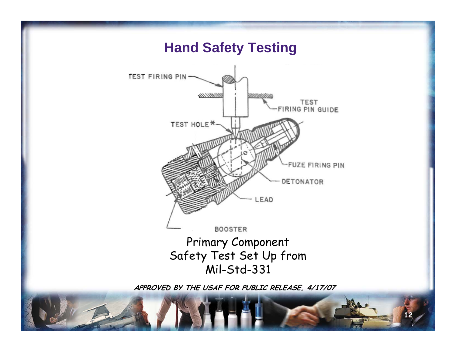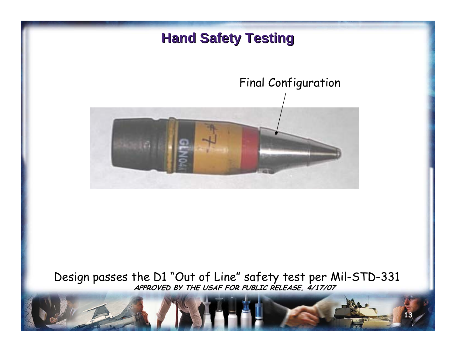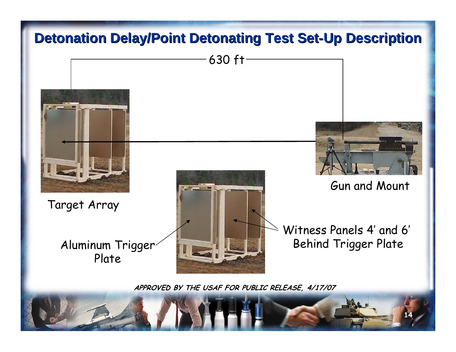# **Detonation Delay/Point Detonating Test Set-Up Description**

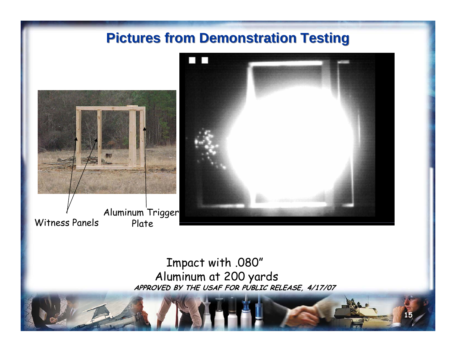

Aluminum Trigger Witness Panels



**15**

#### **APPROVED BY THE USAF FOR PUBLIC RELEASE, 4/17/07** Impact with .080" Aluminum at 200 yards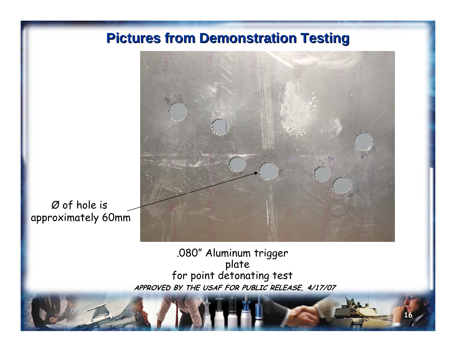

**16**

Ø of hole is approximately 60mm

> **APPROVED BY THE USAF FOR PUBLIC RELEASE, 4/17/07** .080" Aluminum trigger plate for point detonating test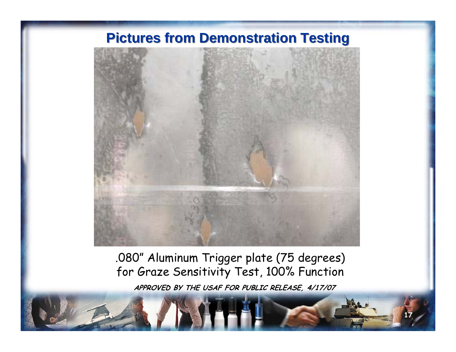

.080" Aluminum Trigger plate (75 degrees) for Graze Sensitivity Test, 100% Function

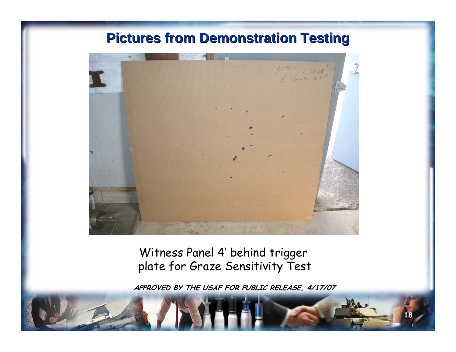

Witness Panel 4' behind trigger plate for Graze Sensitivity Test

**APPROVED BY THE USAF FOR PUBLIC RELEASE, 4/17/07**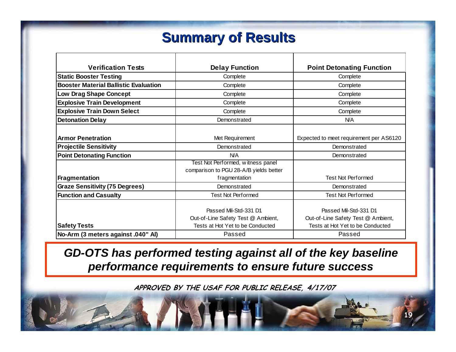## **Summary of Results Summary of Results**

| <b>Verification Tests</b>                    | <b>Delay Function</b>                  | <b>Point Detonating Function</b>        |
|----------------------------------------------|----------------------------------------|-----------------------------------------|
| <b>Static Booster Testing</b>                | Complete                               | Complete                                |
| <b>Booster Material Ballistic Evaluation</b> | Complete                               | Complete                                |
| <b>Low Drag Shape Concept</b>                | Complete                               | Complete                                |
| <b>Explosive Train Development</b>           | Complete                               | Complete                                |
| <b>Explosive Train Down Select</b>           | Complete                               | Complete                                |
| <b>Detonation Delay</b>                      | Demonstrated                           | <b>N/A</b>                              |
|                                              |                                        |                                         |
| <b>Armor Penetration</b>                     | Met Requirement                        | Expected to meet requirement per AS6120 |
| <b>Projectile Sensitivity</b>                | Demonstrated                           | Demonstrated                            |
| <b>Point Detonating Function</b>             | N/A                                    | Demonstrated                            |
|                                              | Test Not Performed, witness panel      |                                         |
|                                              | comparison to PGU 28-A/B yields better |                                         |
| Fragmentation                                | fragmentation                          | <b>Test Not Performed</b>               |
| <b>Graze Sensitivity (75 Degrees)</b>        | Demonstrated                           | Demonstrated                            |
| <b>Function and Casualty</b>                 | <b>Test Not Performed</b>              | <b>Test Not Performed</b>               |
|                                              |                                        |                                         |
|                                              | Passed Mil-Std-331 D1                  | Passed Mil-Std-331 D1                   |
|                                              | Out-of-Line Safety Test @ Ambient,     | Out-of-Line Safety Test @ Ambient,      |
| <b>Safety Tests</b>                          | Tests at Hot Yet to be Conducted       | Tests at Hot Yet to be Conducted        |
| No-Arm (3 meters against .040" Al)           | Passed                                 | Passed                                  |

*GD-OTS has performed testing against all of the key baseline performance requirements to ensure future success*

**APPROVED BY THE USAF FOR PUBLIC RELEASE, 4/17/07**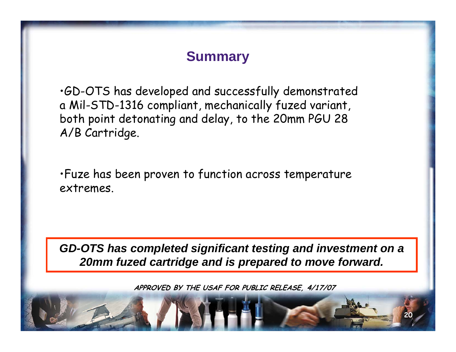#### **Summary**

•GD-OTS has developed and successfully demonstrated a Mil-STD-1316 compliant, mechanically fuzed variant, both point detonating and delay, to the 20mm PGU 28 A/B Cartridge.

•Fuze has been proven to function across temperature extremes.

*GD-OTS has completed significant testing and investment on a 20mm fuzed cartridge and is prepared to move forward.*

**APPROVED BY THE USAF FOR PUBLIC RELEASE, 4/17/07**